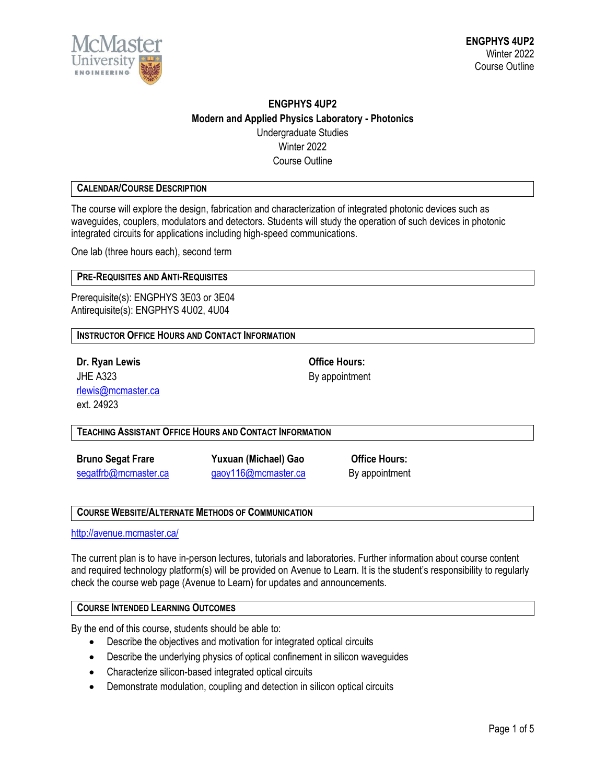

# **ENGPHYS 4UP2 Modern and Applied Physics Laboratory - Photonics** Undergraduate Studies Winter 2022 Course Outline

# **CALENDAR/COURSE DESCRIPTION**

The course will explore the design, fabrication and characterization of integrated photonic devices such as waveguides, couplers, modulators and detectors. Students will study the operation of such devices in photonic integrated circuits for applications including high-speed communications.

One lab (three hours each), second term

# **PRE-REQUISITES AND ANTI-REQUISITES**

Prerequisite(s): ENGPHYS 3E03 or 3E04 Antirequisite(s): ENGPHYS 4U02, 4U04

**INSTRUCTOR OFFICE HOURS AND CONTACT INFORMATION**

**Dr. Ryan Lewis Office Hours:** JHE A323 By appointment [rlewis@mcmaster.ca](mailto:rlewis@mcmaster.ca) ext. 24923

**TEACHING ASSISTANT OFFICE HOURS AND CONTACT INFORMATION**

**Bruno Segat Frare Yuxuan (Michael) Gao Office Hours:**

[segatfrb@mcmaster.ca](mailto:segatfrb@mcmaster.ca) [gaoy116@mcmaster.ca](mailto:gaoy116@mcmaster.ca) By appointment

#### **COURSE WEBSITE/ALTERNATE METHODS OF COMMUNICATION**

<http://avenue.mcmaster.ca/>

The current plan is to have in-person lectures, tutorials and laboratories. Further information about course content and required technology platform(s) will be provided on Avenue to Learn. It is the student's responsibility to regularly check the course web page (Avenue to Learn) for updates and announcements.

#### **COURSE INTENDED LEARNING OUTCOMES**

By the end of this course, students should be able to:

- Describe the objectives and motivation for integrated optical circuits
- Describe the underlying physics of optical confinement in silicon waveguides
- Characterize silicon-based integrated optical circuits
- Demonstrate modulation, coupling and detection in silicon optical circuits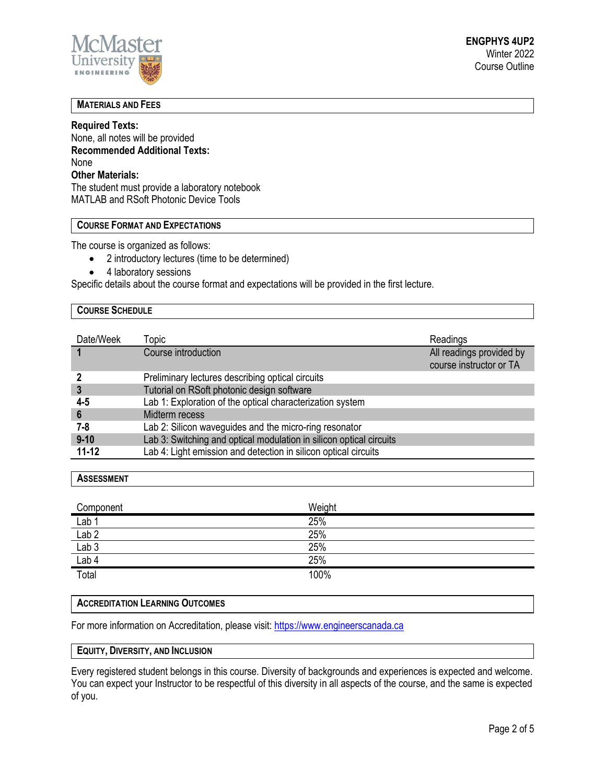

# **MATERIALS AND FEES**

# **Required Texts:**

None, all notes will be provided **Recommended Additional Texts:** None **Other Materials:** The student must provide a laboratory notebook MATLAB and RSoft Photonic Device Tools

# **COURSE FORMAT AND EXPECTATIONS**

The course is organized as follows:

- 2 introductory lectures (time to be determined)
- 4 laboratory sessions

Specific details about the course format and expectations will be provided in the first lecture.

# **COURSE SCHEDULE**

| Date/Week | Topic                                                               | Readings                                            |
|-----------|---------------------------------------------------------------------|-----------------------------------------------------|
|           | Course introduction                                                 | All readings provided by<br>course instructor or TA |
|           | Preliminary lectures describing optical circuits                    |                                                     |
| 3         | Tutorial on RSoft photonic design software                          |                                                     |
| 4-5       | Lab 1: Exploration of the optical characterization system           |                                                     |
| 6         | Midterm recess                                                      |                                                     |
| 7-8       | Lab 2: Silicon waveguides and the micro-ring resonator              |                                                     |
| $9 - 10$  | Lab 3: Switching and optical modulation in silicon optical circuits |                                                     |
| $11 - 12$ | Lab 4: Light emission and detection in silicon optical circuits     |                                                     |

#### **ASSESSMENT**

| Component<br>$\sim$       | Weight |
|---------------------------|--------|
| $\overline{\text{Lab 1}}$ | 25%    |
| Lab 2                     | 25%    |
| Lab <sub>3</sub>          | 25%    |
| Lab 4                     | 25%    |
| Total                     | 100%   |

#### **ACCREDITATION LEARNING OUTCOMES**

For more information on Accreditation, please visit: [https://www.engineerscanada.ca](https://www.engineerscanada.ca/)

#### **EQUITY, DIVERSITY, AND INCLUSION**

Every registered student belongs in this course. Diversity of backgrounds and experiences is expected and welcome. You can expect your Instructor to be respectful of this diversity in all aspects of the course, and the same is expected of you.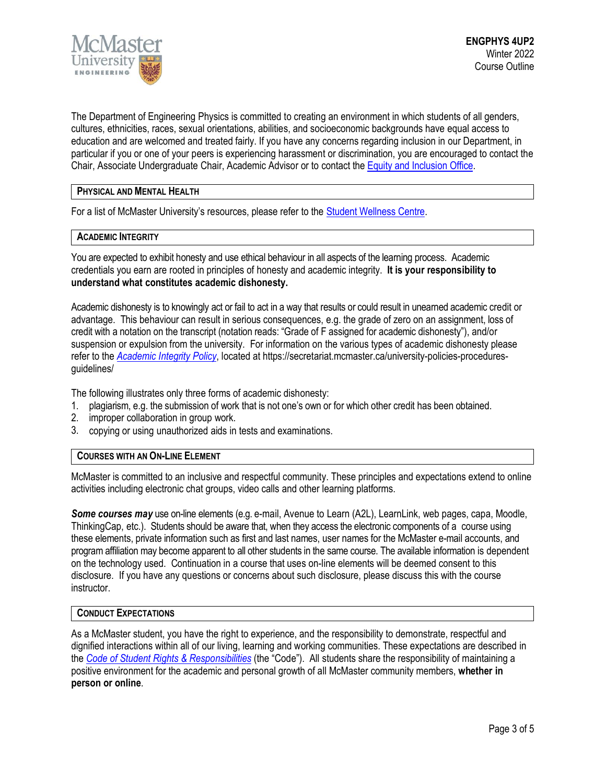

The Department of Engineering Physics is committed to creating an environment in which students of all genders, cultures, ethnicities, races, sexual orientations, abilities, and socioeconomic backgrounds have equal access to education and are welcomed and treated fairly. If you have any concerns regarding inclusion in our Department, in particular if you or one of your peers is experiencing harassment or discrimination, you are encouraged to contact the Chair, Associate Undergraduate Chair, Academic Advisor or to contact the Equity and [Inclusion](https://equity.mcmaster.ca/) Office.

# **PHYSICAL AND MENTAL HEALTH**

For a list of McMaster University's resources, please refer to the [Student Wellness Centre.](https://wellness.mcmaster.ca/)

# **ACADEMIC INTEGRITY**

You are expected to exhibit honesty and use ethical behaviour in all aspects of the learning process. Academic credentials you earn are rooted in principles of honesty and academic integrity. **It is your responsibility to understand what constitutes academic dishonesty.**

Academic dishonesty is to knowingly act or fail to act in a way that results or could result in unearned academic credit or advantage. This behaviour can result in serious consequences, e.g. the grade of zero on an assignment, loss of credit with a notation on the transcript (notation reads: "Grade of F assigned for academic dishonesty"), and/or suspension or expulsion from the university. For information on the various types of academic dishonesty please refer to the *[Academic Integrity Policy](https://secretariat.mcmaster.ca/app/uploads/Academic-Integrity-Policy-1-1.pdf)*[,](https://secretariat.mcmaster.ca/app/uploads/Academic-Integrity-Policy-1-1.pdf) located at https://secretariat.mcmaster.ca/university-policies-proceduresguidelines/

The following illustrates only three forms of academic dishonesty:

- 1. plagiarism, e.g. the submission of work that is not one's own or for which other credit has been obtained.
- 2. improper collaboration in group work.
- 3. copying or using unauthorized aids in tests and examinations.

#### **COURSES WITH AN ON-LINE ELEMENT**

McMaster is committed to an inclusive and respectful community. These principles and expectations extend to online activities including electronic chat groups, video calls and other learning platforms.

*Some courses may* use on-line elements (e.g. e-mail, Avenue to Learn (A2L), LearnLink, web pages, capa, Moodle, ThinkingCap, etc.). Students should be aware that, when they access the electronic components of a course using these elements, private information such as first and last names, user names for the McMaster e-mail accounts, and program affiliation may become apparent to all other students in the same course. The available information is dependent on the technology used. Continuation in a course that uses on-line elements will be deemed consent to this disclosure. If you have any questions or concerns about such disclosure, please discuss this with the course instructor.

#### **CONDUCT EXPECTATIONS**

As a McMaster student, you have the right to experience, and the responsibility to demonstrate, respectful and dignified interactions within all of our living, learning and working communities. These expectations are described in the *Code of Student Rights & [Responsibilities](https://secretariat.mcmaster.ca/app/uploads/Code-of-Student-Rights-and-Responsibilities.pdf)* (the "Code"). All students share the responsibility of maintaining a positive environment for the academic and personal growth of all McMaster community members, **whether in person or online**.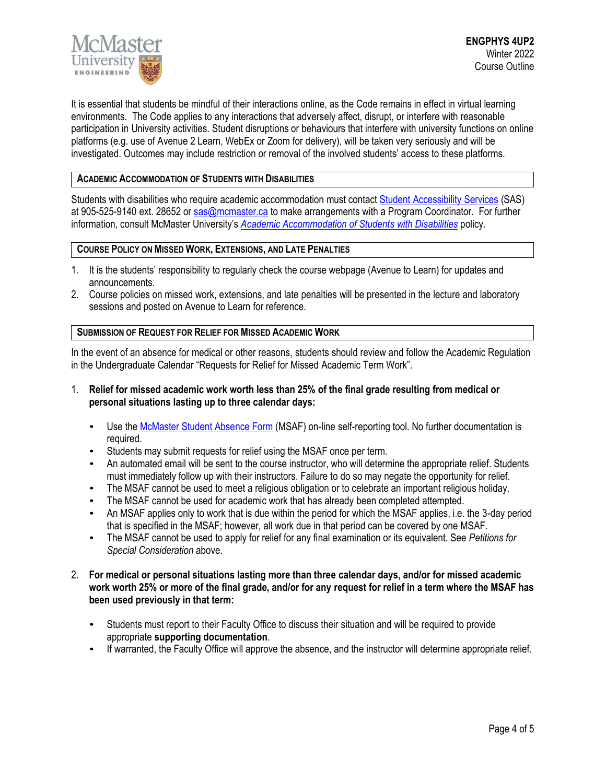

It is essential that students be mindful of their interactions online, as the Code remains in effect in virtual learning environments. The Code applies to any interactions that adversely affect, disrupt, or interfere with reasonable participation in University activities. Student disruptions or behaviours that interfere with university functions on online platforms (e.g. use of Avenue 2 Learn, WebEx or Zoom for delivery), will be taken very seriously and will be investigated. Outcomes may include restriction or removal of the involved students' access to these platforms.

# **ACADEMIC ACCOMMODATION OF STUDENTS WITH DISABILITIES**

Students with disabilities who require academic accommodation must contact Student [Accessibility Services](https://sas.mcmaster.ca/) (SAS) at 905-525-9140 ext. 28652 or [sas@mcmaster.ca](mailto:sas@mcmaster.ca) to make arrangements with a Program Coordinator. For further information, consult McMaster University's *[Academic Accommodation](https://secretariat.mcmaster.ca/app/uploads/Academic-Accommodations-Policy.pdf) of Students with Disabilities* policy.

# **COURSE POLICY ON MISSED WORK, EXTENSIONS, AND LATE PENALTIES**

- 1. It is the students' responsibility to regularly check the course webpage (Avenue to Learn) for updates and announcements.
- 2. Course policies on missed work, extensions, and late penalties will be presented in the lecture and laboratory sessions and posted on Avenue to Learn for reference.

# **SUBMISSION OF REQUEST FOR RELIEF FOR MISSED ACADEMIC WORK**

In the event of an absence for medical or other reasons, students should review and follow the Academic Regulation in the Undergraduate Calendar "Requests for Relief for Missed Academic Term Work".

- 1. **Relief for missed academic work worth less than 25% of the final grade resulting from medical or personal situations lasting up to three calendar days:**
	- Use th[e McMaster Student Absence Form](http://mcmaster.ca/msaf/) (MSAF) on-line self-reporting tool. No further documentation is required.
	- Students may submit requests for relief using the MSAF once per term.
	- An automated email will be sent to the course instructor, who will determine the appropriate relief. Students must immediately follow up with their instructors. Failure to do so may negate the opportunity for relief.
	- The MSAF cannot be used to meet a religious obligation or to celebrate an important religious holiday.
	- The MSAF cannot be used for academic work that has already been completed attempted.
	- An MSAF applies only to work that is due within the period for which the MSAF applies, i.e. the 3-day period that is specified in the MSAF; however, all work due in that period can be covered by one MSAF.
	- The MSAF cannot be used to apply for relief for any final examination or its equivalent. See *Petitions for Special Consideration* above.
- 2. **For medical or personal situations lasting more than three calendar days, and/or for missed academic work worth 25% or more of the final grade, and/or for any request for relief in a term where the MSAF has been used previously in that term:**
	- Students must report to their Faculty Office to discuss their situation and will be required to provide appropriate **supporting documentation**.
	- If warranted, the Faculty Office will approve the absence, and the instructor will determine appropriate relief.